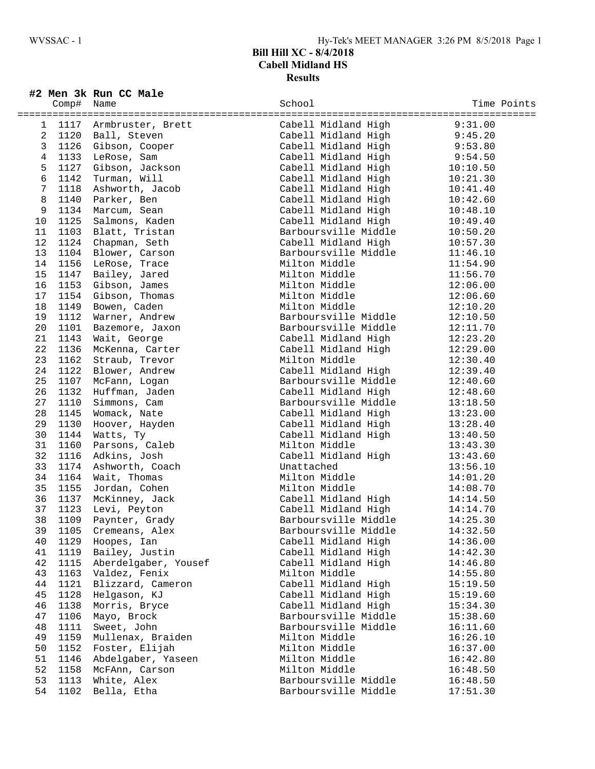## **Bill Hill XC - 8/4/2018 Cabell Midland HS Results**

|                 |            | #2 Men 3k Run CC Male  |                                                                   |          |             |
|-----------------|------------|------------------------|-------------------------------------------------------------------|----------|-------------|
|                 | Comp# Name |                        | School                                                            |          | Time Points |
|                 |            |                        |                                                                   |          |             |
| $\mathbf{1}$    |            | 1117 Armbruster, Brett | Cabell Midland High                                               | 9:31.00  |             |
| $\overline{a}$  |            | 1120 Ball, Steven      | Cabell Midland High                                               | 9:45.20  |             |
| $\mathbf{3}$    |            | 1126 Gibson, Cooper    | Cabell Midland High                                               | 9:53.80  |             |
| $\overline{4}$  |            | 1133 LeRose, Sam       | Cabell Midland High<br>Cabell Midland High<br>Cabell Midland High | 9:54.50  |             |
| 5               |            | 1127 Gibson, Jackson   |                                                                   | 10:10.50 |             |
| $6\overline{6}$ | 1142       | Turman, Will           |                                                                   | 10:21.30 |             |
| 7               | 1118       | Ashworth, Jacob        | Cabell Midland High                                               | 10:41.40 |             |
| 8               | 1140       | Parker, Ben            | Cabell Midland High                                               | 10:42.60 |             |
| 9               | 1134       | Marcum, Sean           | Cabell Midland High                                               | 10:48.10 |             |
| 10 <sup>°</sup> | 1125       | Salmons, Kaden         | Cabell Midland High                                               | 10:49.40 |             |
| 11              |            | 1103 Blatt, Tristan    | Barboursville Middle                                              | 10:50.20 |             |
| 12              | 1124       | Chapman, Seth          | Cabell Midland High                                               | 10:57.30 |             |
| 13              | 1104       | Blower, Carson         | Barboursville Middle                                              | 11:46.10 |             |
| 14              | 1156       | LeRose, Trace          | Milton Middle                                                     | 11:54.90 |             |
| 15              |            | 1147 Bailey, Jared     | Milton Middle                                                     | 11:56.70 |             |
| 16              |            | 1153 Gibson, James     | Milton Middle                                                     | 12:06.00 |             |
| 17              |            | 1154 Gibson, Thomas    | Milton Middle                                                     | 12:06.60 |             |
| 18              |            | 1149 Bowen, Caden      | Milton Middle                                                     | 12:10.20 |             |
| 19              | 1112       | Warner, Andrew         | Barboursville Middle                                              | 12:10.50 |             |
| 20              | 1101       | Bazemore, Jaxon        | Barboursville Middle                                              | 12:11.70 |             |
| 21              | 1143       | Wait, George           | Cabell Midland High                                               | 12:23.20 |             |
| 22              | 1136       | McKenna, Carter        | Cabell Midland High                                               | 12:29.00 |             |
| 23              | 1162       | Straub, Trevor         | Milton Middle                                                     | 12:30.40 |             |
| 24              | 1122       | Blower, Andrew         | Cabell Midland High                                               | 12:39.40 |             |
| 25              | 1107       | McFann, Logan          | Barboursville Middle                                              | 12:40.60 |             |
| 26              | 1132       | Huffman, Jaden         | Cabell Midland High                                               | 12:48.60 |             |
| 27              | 1110       | Simmons, Cam           | Barboursville Middle                                              | 13:18.50 |             |
| 28              | 1145       | Womack, Nate           | Cabell Midland High                                               | 13:23.00 |             |
| 29              | 1130       | Hoover, Hayden         | Cabell Midland High                                               | 13:28.40 |             |
| 30              | 1144       | Watts, Ty              | Cabell Midland High                                               | 13:40.50 |             |
| 31              | 1160       | Parsons, Caleb         | Milton Middle                                                     | 13:43.30 |             |
| 32              | 1116       | Adkins, Josh           | Cabell Midland High                                               | 13:43.60 |             |
| 33              | 1174       | Ashworth, Coach        | Unattached                                                        | 13:56.10 |             |
| 34              | 1164       | Wait, Thomas           | Milton Middle                                                     | 14:01.20 |             |
| 35              | 1155       | Jordan, Cohen          | Milton Middle                                                     | 14:08.70 |             |
| 36              | 1137       | McKinney, Jack         | Cabell Midland High                                               | 14:14.50 |             |
| 37              | 1123       | Levi, Peyton           | Cabell Midland High                                               | 14:14.70 |             |
| 38              | 1109       | Paynter, Grady         | Barboursville Middle                                              | 14:25.30 |             |
| 39              | 1105       | Cremeans, Alex         | Barboursville Middle                                              | 14:32.50 |             |
| 40              | 1129       | Hoopes, Ian            | Cabell Midland High                                               | 14:36.00 |             |
| 41              | 1119       | Bailey, Justin         | Cabell Midland High                                               | 14:42.30 |             |
| 42              | 1115       | Aberdelgaber, Yousef   | Cabell Midland High                                               | 14:46.80 |             |
| 43              | 1163       | Valdez, Fenix          | Milton Middle                                                     | 14:55.80 |             |
| 44              | 1121       | Blizzard, Cameron      | Cabell Midland High                                               | 15:19.50 |             |
| 45              | 1128       | Helgason, KJ           | Cabell Midland High                                               | 15:19.60 |             |
| 46              | 1138       | Morris, Bryce          | Cabell Midland High                                               | 15:34.30 |             |
| 47              | 1106       | Mayo, Brock            | Barboursville Middle                                              | 15:38.60 |             |
| 48              | 1111       | Sweet, John            | Barboursville Middle                                              | 16:11.60 |             |
| 49              | 1159       | Mullenax, Braiden      | Milton Middle                                                     | 16:26.10 |             |
| 50              | 1152       | Foster, Elijah         | Milton Middle                                                     | 16:37.00 |             |
| 51              | 1146       | Abdelgaber, Yaseen     | Milton Middle                                                     | 16:42.80 |             |
| 52              | 1158       | McFAnn, Carson         | Milton Middle                                                     | 16:48.50 |             |
| 53              | 1113       | White, Alex            | Barboursville Middle                                              | 16:48.50 |             |

54 1102 Bella, Etha Barboursville Middle 17:51.30